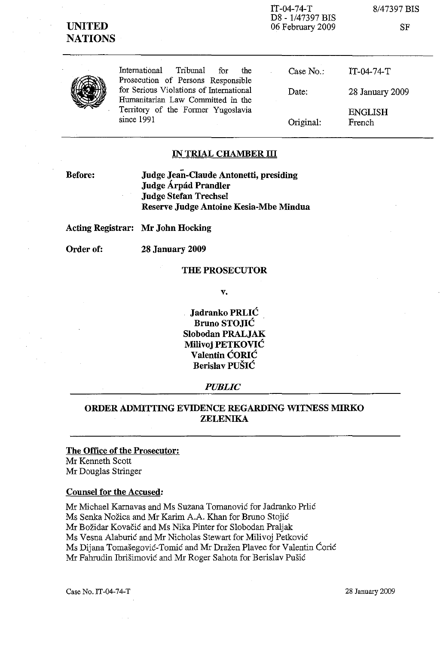# **UNITED NATIONS**

IT-04-74-T D8 - 1/47397 BIS 06 February 2009 8/47397 BIS

SF

International Tribunal for the Prosecution of Persons Responsible for Serious Violations of International Humanitarian Law Committed in the Territory of the Former Yugoslavia since 1991

Case No.: Date: Original: IT-04-74-T 28 January 2009 ENGLISH French

### **IN TRIAL CHAMBER ill**

**Before:**

**Judge Jean-Claude Antonetti, presiding Judge Arpad Prandler Judge Stefan Trechsel Reserve Judge Antoine Kesia-Mbe Mindua**

**Acting Registrar: Mr John Hocking**

**Order of: 28 January 2009**

#### **THE PROSECUTOR**

**v.**

**Jadranko PRLIC Bruno STOJIC Slobodan PRALJAK Milivoj PETKOVIC Valentin CORIC Berislav PUSIC**

### *PUBLIC*

## **ORDER ADMITTING EVIDENCE REGARDING WITNESS MIRKO ZELENlKA**

## **The Office of the Prosecutor:** Mr Kenneth Scott

Mr Douglas Stringer

### **Counsel for the Accused:**

Mr Michael Karnavas and Ms Suzana Tomanovic for Jadranko Prlic Ms Senka Nozica and Mr Karim A.A. Khan for Bruno Stojic Mr Božidar Kovačić and Ms Nika Pinter for Slobodan Praljak Ms Vesna Alaburic and Mr Nicholas Stewart for Milivoj Petkovic Ms Dijana Tomasegovic-Tomic and Mr Drazen Plavec for Valentin Coric Mr Fahrudin Ibrisimovic and Mr Roger Sahota for Berislav Pusic

Case No. IT-04-74-T 28 January 2009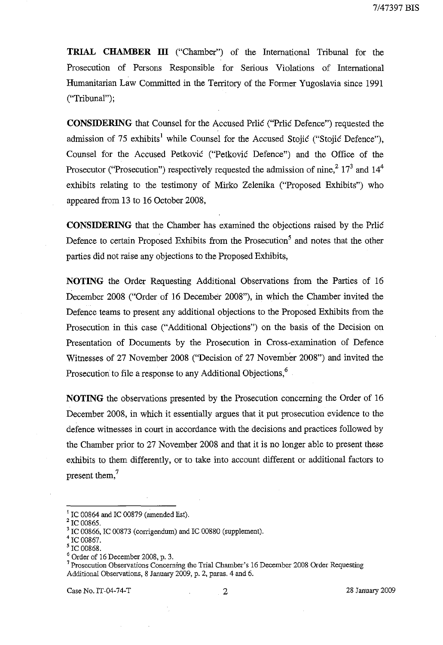**TRIAL CHAMBER III** ("Chamber") of the International Tribunal for the Prosecution of Persons Responsible for Serious Violations of International Humanitarian Law Committed in the Territory of the Former Yugoslavia since 1991 ("Tribunal");

**CONSIDERING** that Counsel for the Accused Prlic ("Prlic Defence") requested the admission of 75 exhibits<sup>1</sup> while Counsel for the Accused Stojic ("Stojic Defence"), Counsel for the Accused Petkovic C'Petkovic Defence") and the Office of the Prosecutor ("Prosecution") respectively requested the admission of nine,  $2^{17^3}$  and  $14^4$ exhibits relating to the testimony of Mirko Zelenika ("Proposed Exhibits") who appeared from 13 to 16 October 2008,

**CONSIDERING** that the Chamber has examined the objections raised by the Prlic Defence to certain Proposed Exhibits from the Prosecution' and notes that the other parties did not raise any objections to the Proposed Exhibits,

**NOTING** the Order Requesting Additional Observations from the Parties of 16 December 2008 ("Order of 16 December 2008"), in which the Chamber invited the Defence teams to present any additional objections to the Proposed Exhibits from the Prosecution in this case ("Additional Objections") on the basis of the Decision on Presentation of Documents by the Prosecution in Cross-examination of Defence Witnesses of 27 November 2008 ("Decision of 27 November 2008") and invited the Prosecution to file a response to any Additional Objections,<sup>6</sup>

**NOTING** the observations presented by the Prosecution concerning the Order of 16 December 2008, in which it essentially argues that it put prosecution evidence to the defence witnesses in court in accordance with the decisions and practices followed by the Chamber prior to 27 November 2008 and that it is no longer able to present these exhibits to them differently, or to take into account different or additional factors to present them,<sup>7</sup>

 $I$  IC 00864 and IC 00879 (amended list).

 $^{2}$  IC 00865.

 $3$  IC 00866, IC 00873 (corrigendum) and IC 00880 (supplement).

IC 00867.

<sup>5</sup> IC 00868.

 $^6$  Order of 16 December 2008, p. 3.

<sup>7</sup> Prosecution Observations Concerning the Trial Chamber's 16 December 2008 Order Requesting Additional Observations, 8 January 2009, p. 2, paras. 4 and 6.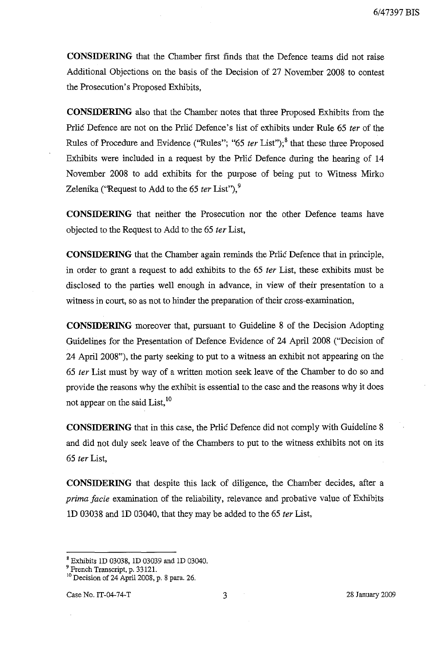**CONSIDERING** that the Chamber first finds that the Defence teams did not raise Additional Objections on the basis of the Decision of 27 November 2008 to contest the Prosecution's Proposed Exhibits,

**CONSIDERING** also that the Chamber notes that three Proposed Exhibits from the Prlic Defence are not on the Prlic Defence's list of exhibits under Rule 65 *ter* of the Rules of Procedure and Evidence ("Rules"; "65 *ter* List");<sup>8</sup> that these three Proposed Exhibits were included in a request by the Prlic Defence during the hearing of 14 November 2008 to add exhibits for the purpose of being put to Witness Mirko Zelenika ('Request to Add to the 65 *ter* List").<sup>9</sup>

**CONSIDERING** that neither the Prosecution nor the other Defence teams have objected to the Request to Add to the 65 *ter* List,

**CONSIDERING** that the Chamber again reminds the Prlic Defence that in principle, in order to grant a request to add exhibits to the 65 *ter* List, these exhibits must be disclosed to the parties well enough in advance, in view of their presentation to a witness in court, so as not to hinder the preparation of their cross-examination,

**CONSIDERING** moreover that, pursuant to Guideline 8 of the Decision Adopting Guidelines for the Presentation of Defence Evidence of 24 April 2008 ("Decision of 24 April 2008"), the party seeking to put to a witness an exhibit not appearing on the *65 ter* List must by way of a written motion seek leave of the Chamber to do so and provide the reasons why the exhibit is essential to the case and the reasons why it does not appear on the said  $List<sub>10</sub>$ 

**CONSIDERING** that in this case, the Prlic Defence did not comply with Guideline 8 and did not duly seek leave of the Chambers to put to the witness exhibits not on its *65 ter* List,

**CONSIDERING** that despite this lack of diligence, the Chamber decides, after a *prima facie* examination of the reliability, relevance and probative value of Exhibits 1D 03038 and 10 03040, that they may be added to the 65 *ter* List,

<sup>8</sup> Exhibits 1D 03038, 1D 03039 and 1D 03040.

<sup>&</sup>lt;sup>9</sup> French Transcript, p. 33121.

<sup>10</sup> Decision of 24 April 2008, p. 8 para. 26.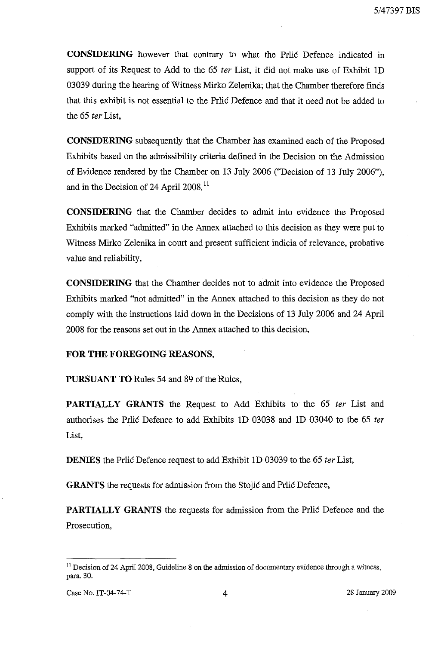**CONSIDERING** however that contrary to what the Prlic Defence indicated in support of its Request to Add to the 65 *ter* List, it did not make use of Exhibit ID 03039 during the hearing of Witness Mirko Zelenika; that the Chamber therefore finds that this exhibit is not essential to the Prlic Defence and that it need not be added to the 65 *ter* List,

**CONSIDERING** subsequently that the Chamber has examined each of the Proposed Exhibits based on the admissibility criteria defined in the Decision on the Admission of Evidence rendered by the Chamber on 13 July 2006 ("Decision of 13 July 2006"), and in the Decision of 24 April 2008,<sup>11</sup>

**CONSIDERING** that the Chamber decides to admit into evidence the Proposed Exhibits marked "admitted" in the Annex attached to this decision as they were put to Witness Mirko Zelenika in court and present sufficient indicia of relevance, probative value and reliability,

**CONSIDERING** that the Chamber decides not to admit into evidence the Proposed Exhibits marked "not admitted" in the Annex attached to this decision as they do not comply with the instructions laid down in the Decisions of 13 July 2006 and 24 April 2008 for the reasons set out in the Annex attached to this decision,

### **FOR THE FOREGOING REASONS,**

**PURSUANT TO** Rules 54 and 89 of the Rules,

**PARTIALLY GRANTS** the Request to Add Exhibits to the 65 *ter* List and authorises the Prlic Defence to add Exhibits ID 03038 and 10 03040 to the 65 *ter* List,

**DENIES** the Prlic Defence request to add Exhibit ID 03039 to the 65 *ter* List,

**GRANTS** the requests for admission from the Stojic and Prlic Defence,

**PARTIALLY GRANTS** the requests for admission from the Prlic Defence and the Prosecution,

 $11$  Decision of 24 April 2008, Guideline 8 on the admission of documentary evidence through a witness, para. 30.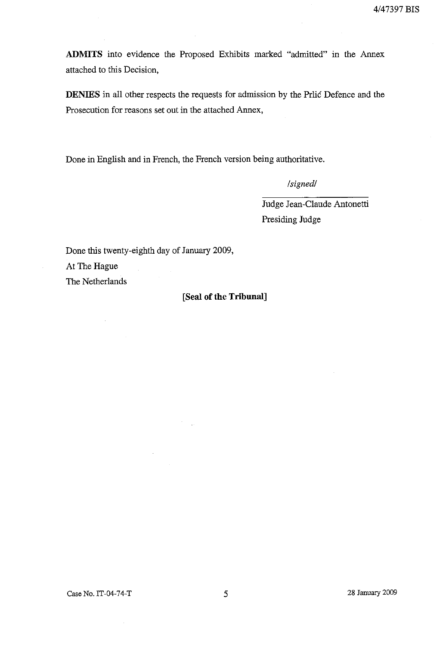ADMITS into evidence the Proposed Exhibits marked "admitted" in the Annex attached to this Decision,

**DENIES** in all other respects the requests for admission by the Prlic Defence and the Prosecution for reasons set out in the attached Annex,

Done in English and in French, the French version being authoritative.

*/signed/*

Judge Jean-Claude Antonetti Presiding Judge

Done this twenty-eighth day of January 2009,

At The Hague

The Netherlands

## **[Seal of the Tribunal]**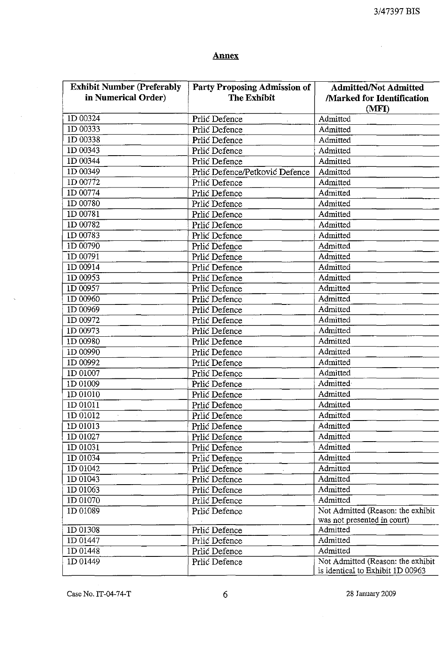$\overline{a}$ 

## **Annex**

| <b>Exhibit Number (Preferably</b> | <b>Party Proposing Admission of</b> | <b>Admitted/Not Admitted</b>                                          |
|-----------------------------------|-------------------------------------|-----------------------------------------------------------------------|
| in Numerical Order)               | <b>The Exhibit</b>                  | <b>Marked for Identification</b>                                      |
|                                   |                                     | (MFI)                                                                 |
| 1D 00324                          | Prlić Defence                       | Admitted                                                              |
| 1D 00333                          | Prlić Defence                       | Admitted                                                              |
| 1D 00338                          | Prlić Defence                       | Admitted                                                              |
| 1D 00343                          | Prlić Defence                       | Admitted                                                              |
| 1D 00344                          | Prlić Defence                       | Admitted                                                              |
| ID 00349                          | Prlić Defence/Petković Defence      | Admitted                                                              |
| 1D 00772                          | Prlić Defence                       | Admitted                                                              |
| ID 00774                          | Prlić Defence                       | Admitted                                                              |
| 1D 00780                          | Prlić Defence                       | Admitted                                                              |
| 1D 00781                          | Prlić Defence                       | Admitted                                                              |
| 1D 00782                          | Prlić Defence                       | Admitted                                                              |
| 1D 00783                          | Prlić Defence                       | Admitted                                                              |
| 1D 00790                          | Prlić Defence                       | Admitted                                                              |
| ID 00791                          | Prlić Defence                       | Admitted                                                              |
| 1D 00914                          | Prlić Defence                       | Admitted                                                              |
| 1D 00953                          | Prlić Defence                       | Admitted                                                              |
| ID 00957                          | Prlić Defence                       | Admitted                                                              |
| ID 00960                          | Prlić Defence                       | Admitted                                                              |
| 1D 00969                          | Prlić Defence                       | Admitted                                                              |
| 1D 00972                          | Prlić Defence                       | Admitted                                                              |
| 1D 00973                          | Prlić Defence                       | Admitted                                                              |
| 1D 00980                          | Prlić Defence                       | Admitted                                                              |
| 1D 00990                          | Prlić Defence                       | Admitted                                                              |
| 1D 00992                          | Prlić Defence                       | Admitted                                                              |
| 1D 01007                          | Prlić Defence                       | Admitted                                                              |
| 1D 01009                          | Prlić Defence                       | Admitted                                                              |
| 1D 01010                          | Prlić Defence                       | Admitted                                                              |
| 1D 01011                          | Prlić Defence                       | Admitted                                                              |
| 1D 01012                          | Prlić Defence                       | Admitted                                                              |
| $1D\ 01013$                       | Prlić Defence                       | Admitted                                                              |
|                                   |                                     | Admitted                                                              |
| 1D 01027                          | Prlić Defence                       |                                                                       |
| 1D 01031                          | Prlić Defence                       | Admitted                                                              |
| ID 01034                          | Prlić Defence                       | Admitted                                                              |
| 1D 01042                          | Prlić Defence                       | Admitted                                                              |
| 1D 01043                          | Prlić Defence                       | Admitted                                                              |
| 1D 01063                          | Prlić Defence                       | Admitted                                                              |
| 1D 01070                          | Prlić Defence                       | Admitted                                                              |
| 1D 01089                          | Prlić Defence                       | Not Admitted (Reason: the exhibit                                     |
|                                   |                                     | was not presented in court)                                           |
| 1D 01308                          | Prlić Defence                       | Admitted                                                              |
| 1D 01447                          | Prlić Defence                       | Admitted                                                              |
| 1D 01448                          | Prlić Defence                       | Admitted                                                              |
| ID 01449                          | Prlić Defence                       | Not Admitted (Reason: the exhibit<br>is identical to Exhibit 1D 00963 |

Case No. IT-04-74-T  $\qquad \qquad 6$  28 January 2009

 $\bar{z}$ 

l,

 $\hat{\mathcal{A}}$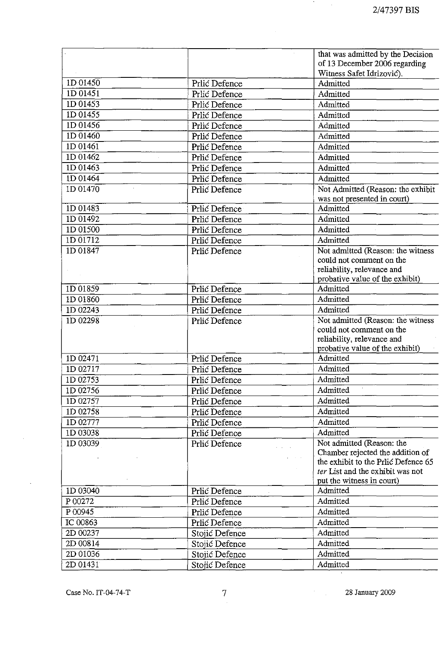$\mathcal{F}_{\mathcal{A}}$  , and  $\mathcal{F}_{\mathcal{A}}$ 

|             |                | that was admitted by the Decision                      |
|-------------|----------------|--------------------------------------------------------|
|             |                | of 13 December 2006 regarding                          |
|             |                | Witness Safet Idrizović).                              |
| $1D\,01450$ | Prlić Defence  | Admitted                                               |
| 1D 01451    | Prlić Defence  | Admitted                                               |
| 1D 01453    | Prlić Defence  | Admitted                                               |
| ID 01455    | Prlić Defence  | Admitted                                               |
| $1D\,01456$ | Prlić Defence  | Admitted                                               |
| ID 01460    | Prlić Defence  | Admitted                                               |
| $1D\ 01461$ | Prlić Defence  | Admitted                                               |
| 1D 01462    | Prlić Defence  | Admitted                                               |
| 1D 01463    | Prlić Defence  | Admitted                                               |
| ID 01464    | Prlić Defence  | Admitted                                               |
| 1D 01470    | Prlić Defence  | Not Admitted (Reason: the exhibit                      |
|             |                | was not presented in court)                            |
| 1D 01483    | Prlić Defence  | Admitted                                               |
| 1D 01492    | Prlić Defence  | Admitted                                               |
| 1D 01500    | Prlić Defence  | Admitted                                               |
| 1D 01712    | Prlić Defence  | Admitted                                               |
| 1D 01847    | Prlić Defence  | Not admitted (Reason: the witness                      |
|             |                | could not comment on the                               |
|             |                | reliability, relevance and                             |
|             |                | probative value of the exhibit)                        |
| 1D 01859    | Prlić Defence  | Admitted                                               |
| 1D 01860    | Prlić Defence  | Admitted                                               |
| 1D 02243    | Prlić Defence  | Admitted                                               |
| 1D 02298    | Prlić Defence  | Not admitted (Reason: the witness                      |
|             |                | could not comment on the<br>reliability, relevance and |
|             |                | probative value of the exhibit)                        |
| 1D 02471    | Prlić Defence  | Admitted                                               |
| 1D 02717    | Prlić Defence  | Admitted                                               |
| 1D 02753    | Prlić Defence  | Admitted                                               |
| ID 02756    | Prlić Defence  | Admitted                                               |
| 1D 02757    | Prlić Defence  | Admitted                                               |
| 1D 02758    | Prlić Defence  | Admitted                                               |
| 1D 02777    | Prlić Defence  | Admitted                                               |
| 1D 03038    | Prlić Defence  | Admitted                                               |
| 1D 03039    | Prlić Defence  | Not admitted (Reason: the                              |
|             |                | Chamber rejected the addition of                       |
|             |                | the exhibit to the Prlic Defence 65                    |
|             |                | ter List and the exhibit was not                       |
|             |                | put the witness in court)                              |
| 1D 03040    | Prlić Defence  | Admitted                                               |
| P 00272     | Prlić Defence  | Admitted                                               |
| P 00945     | Prlić Defence  | Admitted                                               |
| IC 00863    | Prlić Defence  | Admitted                                               |
| 2D 00237    | Stojić Defence | Admitted                                               |
| 2D 00814    | Stojić Defence | Admitted                                               |
| 2D 01036    | Stojić Defence | Admitted                                               |
| 2D 01431    | Stojić Defence | Admitted                                               |
|             |                |                                                        |

 $\sim$ 

 $\sim 10^{-1}$